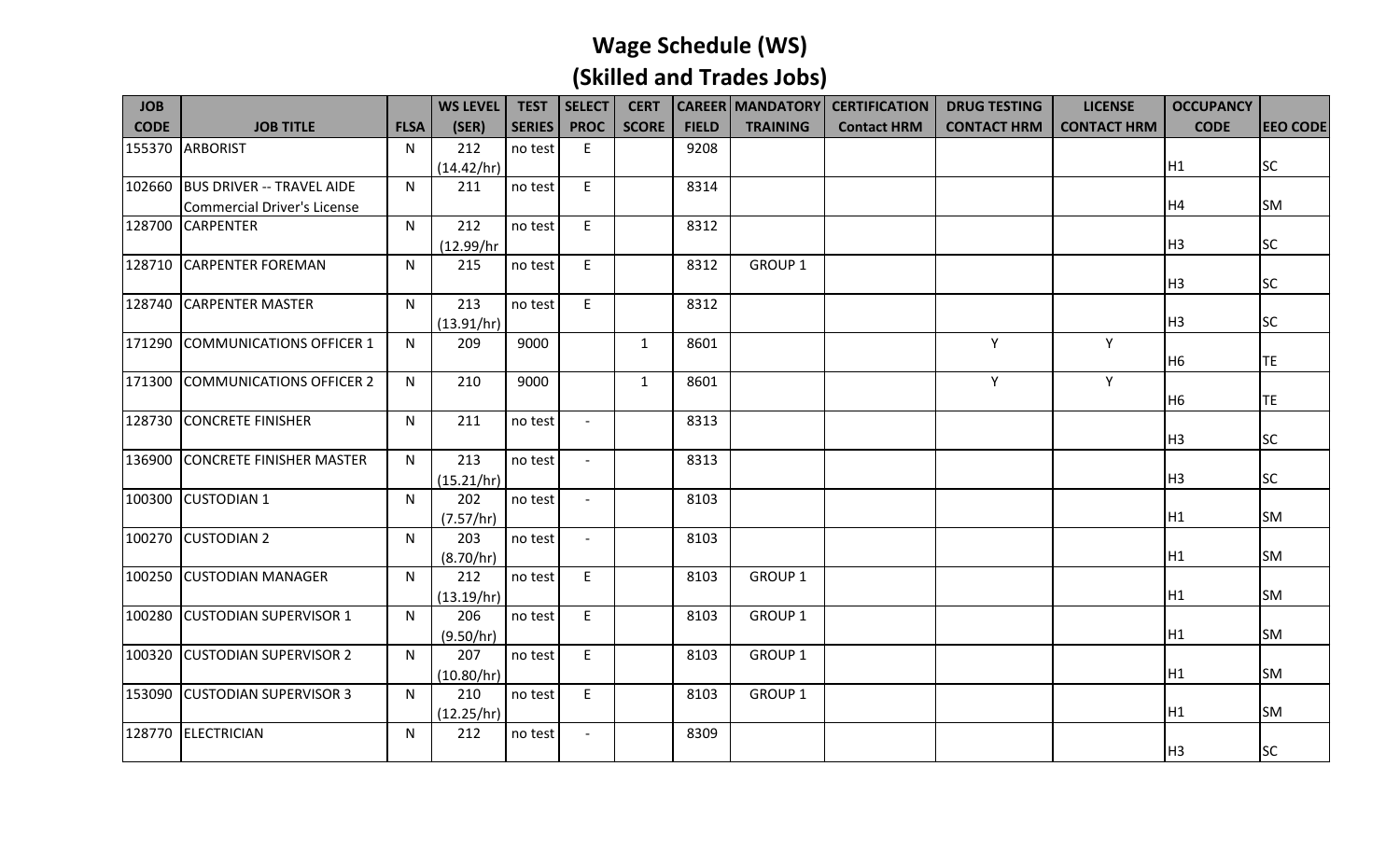| <b>JOB</b>  |                                    |             | <b>WS LEVEL</b>   | <b>TEST</b>   | <b>SELECT</b>            | <b>CERT</b>  |              |                    | <b>CAREER   MANDATORY   CERTIFICATION</b> | <b>DRUG TESTING</b> | <b>LICENSE</b>     | <b>OCCUPANCY</b> |                 |
|-------------|------------------------------------|-------------|-------------------|---------------|--------------------------|--------------|--------------|--------------------|-------------------------------------------|---------------------|--------------------|------------------|-----------------|
| <b>CODE</b> | <b>JOB TITLE</b>                   | <b>FLSA</b> | (SER)             | <b>SERIES</b> | <b>PROC</b>              | <b>SCORE</b> | <b>FIELD</b> | <b>TRAINING</b>    | <b>Contact HRM</b>                        | <b>CONTACT HRM</b>  | <b>CONTACT HRM</b> | <b>CODE</b>      | <b>EEO CODE</b> |
| 155370      | <b>ARBORIST</b>                    | N           | 212               | no test       | E                        |              | 9208         |                    |                                           |                     |                    |                  |                 |
|             |                                    |             | (14.42/hr)        |               |                          |              |              |                    |                                           |                     |                    | H1               | <b>SC</b>       |
| 102660      | <b>BUS DRIVER -- TRAVEL AIDE</b>   | N           | 211               | no test       | E.                       |              | 8314         |                    |                                           |                     |                    |                  |                 |
|             | <b>Commercial Driver's License</b> |             |                   |               |                          |              |              |                    |                                           |                     |                    | H4               | <b>SM</b>       |
| 128700      | <b>CARPENTER</b>                   | N           | 212               | no test       | E                        |              | 8312         |                    |                                           |                     |                    |                  |                 |
|             |                                    |             | (12.99/hr         |               |                          |              |              |                    |                                           |                     |                    | H <sub>3</sub>   | <b>SC</b>       |
| 128710      | <b>CARPENTER FOREMAN</b>           | N           | 215               | no test       | E                        |              | 8312         | GROUP <sub>1</sub> |                                           |                     |                    |                  |                 |
|             |                                    |             |                   |               |                          |              |              |                    |                                           |                     |                    | H <sub>3</sub>   | <b>SC</b>       |
| 128740      | <b>CARPENTER MASTER</b>            | N.          | 213               | no test       | E                        |              | 8312         |                    |                                           |                     |                    |                  |                 |
|             |                                    |             | (13.91/hr)        |               |                          |              |              |                    |                                           |                     |                    | H <sub>3</sub>   | <b>SC</b>       |
| 171290      | COMMUNICATIONS OFFICER 1           | N           | 209               | 9000          |                          | $\mathbf{1}$ | 8601         |                    |                                           | Y                   | Y                  |                  |                 |
|             |                                    |             |                   |               |                          |              |              |                    |                                           |                     |                    | H <sub>6</sub>   | <b>TE</b>       |
| 171300      | COMMUNICATIONS OFFICER 2           | N           | 210               | 9000          |                          | $\mathbf{1}$ | 8601         |                    |                                           | Y                   | Υ                  |                  |                 |
|             |                                    |             |                   |               |                          |              |              |                    |                                           |                     |                    | H6               | <b>TE</b>       |
| 128730      | <b>CONCRETE FINISHER</b>           | N           | 211               | no test       | $\overline{\phantom{a}}$ |              | 8313         |                    |                                           |                     |                    |                  |                 |
|             |                                    |             |                   |               |                          |              |              |                    |                                           |                     |                    | H3               | <b>SC</b>       |
| 136900      | <b>CONCRETE FINISHER MASTER</b>    | N           | 213               | no test       |                          |              | 8313         |                    |                                           |                     |                    |                  |                 |
|             |                                    |             | (15.21/hr)        |               |                          |              |              |                    |                                           |                     |                    | H <sub>3</sub>   | <b>SC</b>       |
|             | 100300 CUSTODIAN 1                 | N           | 202               | no test       | $\overline{\phantom{a}}$ |              | 8103         |                    |                                           |                     |                    |                  |                 |
|             |                                    |             | (7.57/hr)         |               |                          |              |              |                    |                                           |                     |                    | H1               | <b>SM</b>       |
|             | 100270 CUSTODIAN 2                 | N.          | 203               | no test       | $\overline{\phantom{a}}$ |              | 8103         |                    |                                           |                     |                    | H1               | <b>SM</b>       |
|             |                                    |             | (8.70/hr)         |               |                          |              |              |                    |                                           |                     |                    |                  |                 |
|             | 100250 CUSTODIAN MANAGER           | N           | 212               | no test       | E                        |              | 8103         | GROUP 1            |                                           |                     |                    | H1               | <b>SM</b>       |
|             |                                    |             | (13.19/hr)        |               |                          |              |              |                    |                                           |                     |                    |                  |                 |
|             | 100280 CUSTODIAN SUPERVISOR 1      | N           | 206               | no test       | E.                       |              | 8103         | GROUP 1            |                                           |                     |                    | H1               | <b>SM</b>       |
|             | <b>CUSTODIAN SUPERVISOR 2</b>      | N.          | (9.50/hr)<br>207  |               | $\mathsf E$              |              |              | GROUP <sub>1</sub> |                                           |                     |                    |                  |                 |
| 100320      |                                    |             |                   | no test       |                          |              | 8103         |                    |                                           |                     |                    | H1               | <b>SM</b>       |
|             | 153090 CUSTODIAN SUPERVISOR 3      | N.          | (10.80/hr)<br>210 |               | E                        |              | 8103         | GROUP <sub>1</sub> |                                           |                     |                    |                  |                 |
|             |                                    |             |                   | no test       |                          |              |              |                    |                                           |                     |                    | H1               | <b>SM</b>       |
|             |                                    |             | (12.25/hr)        |               |                          |              |              |                    |                                           |                     |                    |                  |                 |
|             | 128770 ELECTRICIAN                 | N           | 212               | no test       |                          |              | 8309         |                    |                                           |                     |                    | H <sub>3</sub>   | <b>SC</b>       |
|             |                                    |             |                   |               |                          |              |              |                    |                                           |                     |                    |                  |                 |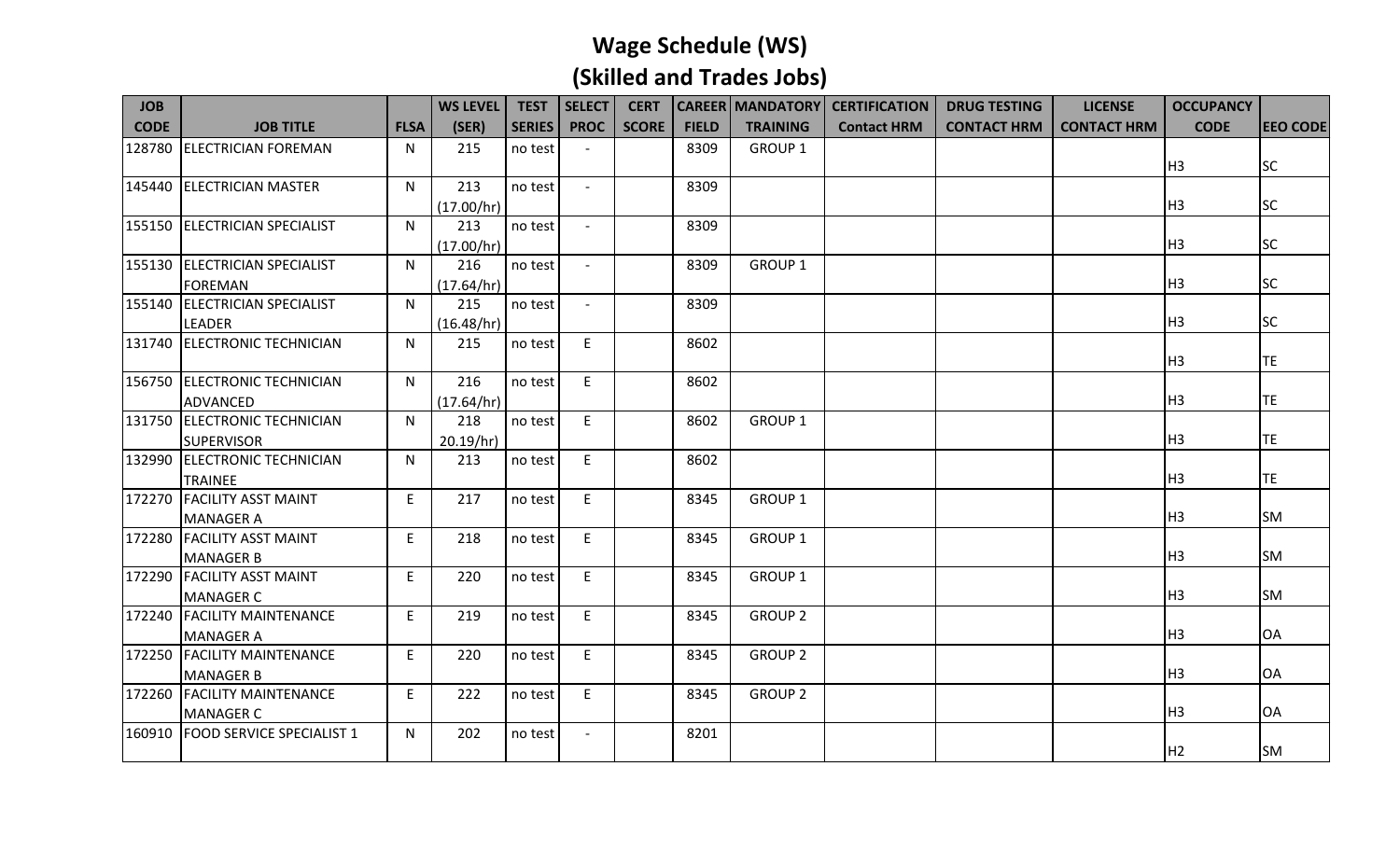| <b>JOB</b>  |                                                 |             | <b>WS LEVEL</b> | <b>TEST</b>   | SELECT                   | <b>CERT</b>  |              |                    | <b>CAREER   MANDATORY   CERTIFICATION</b> | <b>DRUG TESTING</b> | <b>LICENSE</b>     | <b>OCCUPANCY</b> |                 |
|-------------|-------------------------------------------------|-------------|-----------------|---------------|--------------------------|--------------|--------------|--------------------|-------------------------------------------|---------------------|--------------------|------------------|-----------------|
| <b>CODE</b> | <b>JOB TITLE</b>                                | <b>FLSA</b> | (SER)           | <b>SERIES</b> | <b>PROC</b>              | <b>SCORE</b> | <b>FIELD</b> | <b>TRAINING</b>    | <b>Contact HRM</b>                        | <b>CONTACT HRM</b>  | <b>CONTACT HRM</b> | <b>CODE</b>      | <b>EEO CODE</b> |
| 128780      | <b>ELECTRICIAN FOREMAN</b>                      | N.          | 215             | no test       |                          |              | 8309         | <b>GROUP 1</b>     |                                           |                     |                    | H <sub>3</sub>   | <b>SC</b>       |
| 145440      | <b>ELECTRICIAN MASTER</b>                       | N           | 213             | no test       | $\sim$                   |              | 8309         |                    |                                           |                     |                    |                  |                 |
|             |                                                 |             | (17.00/hr)      |               |                          |              |              |                    |                                           |                     |                    | H <sub>3</sub>   | <b>SC</b>       |
|             | 155150 ELECTRICIAN SPECIALIST                   | N           | 213             | no test       |                          |              | 8309         |                    |                                           |                     |                    |                  |                 |
|             |                                                 |             | (17.00/hr)      |               |                          |              |              |                    |                                           |                     |                    | H <sub>3</sub>   | <b>SC</b>       |
|             | 155130 ELECTRICIAN SPECIALIST                   | N           | 216             | no test       | $\sim$                   |              | 8309         | GROUP <sub>1</sub> |                                           |                     |                    |                  |                 |
|             | <b>FOREMAN</b>                                  |             | (17.64/hr)      |               |                          |              |              |                    |                                           |                     |                    | H <sub>3</sub>   | <b>SC</b>       |
| 155140      | <b>ELECTRICIAN SPECIALIST</b>                   | N           | 215             | no test       | $\overline{a}$           |              | 8309         |                    |                                           |                     |                    |                  |                 |
|             | LEADER                                          |             | (16.48/hr)      |               |                          |              |              |                    |                                           |                     |                    | H <sub>3</sub>   | <b>SC</b>       |
| 131740      | <b>ELECTRONIC TECHNICIAN</b>                    | N           | 215             | no test       | E                        |              | 8602         |                    |                                           |                     |                    |                  |                 |
|             |                                                 |             |                 |               |                          |              |              |                    |                                           |                     |                    | H <sub>3</sub>   | TE              |
|             | 156750 ELECTRONIC TECHNICIAN                    | N.          | 216             | no test       | E                        |              | 8602         |                    |                                           |                     |                    |                  |                 |
|             | <b>ADVANCED</b>                                 |             | (17.64/hr)      |               |                          |              |              |                    |                                           |                     |                    | H <sub>3</sub>   | <b>TE</b>       |
|             | 131750 ELECTRONIC TECHNICIAN                    | N.          | 218             | no test       | E                        |              | 8602         | <b>GROUP 1</b>     |                                           |                     |                    |                  |                 |
|             | <b>SUPERVISOR</b>                               |             | 20.19/hr)       |               |                          |              |              |                    |                                           |                     |                    | H <sub>3</sub>   | TE              |
|             | 132990 ELECTRONIC TECHNICIAN                    | N           | 213             | no test       | E                        |              | 8602         |                    |                                           |                     |                    |                  |                 |
|             | <b>TRAINEE</b>                                  |             |                 |               |                          |              |              |                    |                                           |                     |                    | H <sub>3</sub>   | <b>TE</b>       |
|             | 172270 FACILITY ASST MAINT                      | E           | 217             | no test       | E                        |              | 8345         | <b>GROUP 1</b>     |                                           |                     |                    |                  |                 |
|             | <b>MANAGER A</b>                                |             |                 |               |                          |              |              |                    |                                           |                     |                    | H <sub>3</sub>   | <b>SM</b>       |
|             | 172280 FACILITY ASST MAINT                      | E           | 218             | no test       | E                        |              | 8345         | GROUP <sub>1</sub> |                                           |                     |                    | H <sub>3</sub>   |                 |
|             | <b>MANAGER B</b>                                |             |                 |               |                          |              |              |                    |                                           |                     |                    |                  | <b>SM</b>       |
|             | 172290 FACILITY ASST MAINT                      | E           | 220             | no test       | E                        |              | 8345         | <b>GROUP 1</b>     |                                           |                     |                    | H <sub>3</sub>   | <b>SM</b>       |
| 172240      | <b>MANAGER C</b><br><b>FACILITY MAINTENANCE</b> | E           | 219             | no test       | E                        |              | 8345         | <b>GROUP 2</b>     |                                           |                     |                    |                  |                 |
|             |                                                 |             |                 |               |                          |              |              |                    |                                           |                     |                    | H <sub>3</sub>   | OA              |
|             | <b>MANAGER A</b><br>172250 FACILITY MAINTENANCE | E           | 220             | no test       | E                        |              | 8345         | <b>GROUP 2</b>     |                                           |                     |                    |                  |                 |
|             |                                                 |             |                 |               |                          |              |              |                    |                                           |                     |                    | H <sub>3</sub>   | <b>OA</b>       |
|             | <b>MANAGER B</b><br>172260 FACILITY MAINTENANCE | E           | 222             | no test       | E                        |              | 8345         | <b>GROUP 2</b>     |                                           |                     |                    |                  |                 |
|             | <b>MANAGER C</b>                                |             |                 |               |                          |              |              |                    |                                           |                     |                    | H <sub>3</sub>   | <b>OA</b>       |
|             | 160910 FOOD SERVICE SPECIALIST 1                | N           | 202             | no test       | $\overline{\phantom{a}}$ |              | 8201         |                    |                                           |                     |                    |                  |                 |
|             |                                                 |             |                 |               |                          |              |              |                    |                                           |                     |                    | H <sub>2</sub>   | <b>SM</b>       |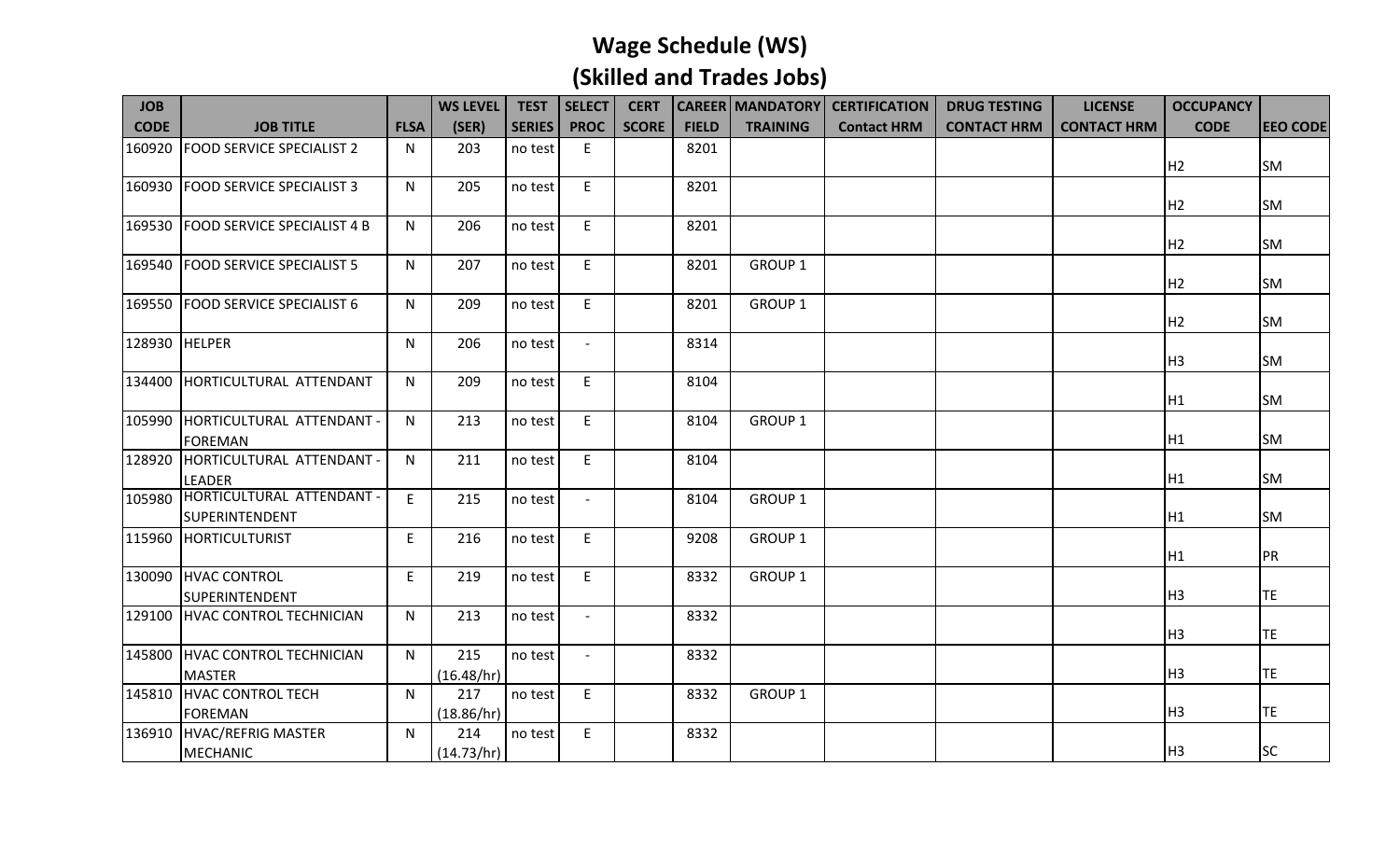| <b>JOB</b>    |                                                    |              | <b>WS LEVEL</b>   | <b>TEST</b>   | <b>SELECT</b>            | <b>CERT</b>  |              |                    | <b>CAREER   MANDATORY   CERTIFICATION</b> | <b>DRUG TESTING</b> | <b>LICENSE</b>     | <b>OCCUPANCY</b> |                 |
|---------------|----------------------------------------------------|--------------|-------------------|---------------|--------------------------|--------------|--------------|--------------------|-------------------------------------------|---------------------|--------------------|------------------|-----------------|
| <b>CODE</b>   | <b>JOB TITLE</b>                                   | <b>FLSA</b>  | (SER)             | <b>SERIES</b> | <b>PROC</b>              | <b>SCORE</b> | <b>FIELD</b> | <b>TRAINING</b>    | <b>Contact HRM</b>                        | <b>CONTACT HRM</b>  | <b>CONTACT HRM</b> | <b>CODE</b>      | <b>EEO CODE</b> |
| 160920        | <b>FOOD SERVICE SPECIALIST 2</b>                   | N            | 203               | no test       | E                        |              | 8201         |                    |                                           |                     |                    | H <sub>2</sub>   | <b>SM</b>       |
|               | 160930 FOOD SERVICE SPECIALIST 3                   | N.           | 205               | no test       | E                        |              | 8201         |                    |                                           |                     |                    | H <sub>2</sub>   | <b>SM</b>       |
| 169530        | <b>FOOD SERVICE SPECIALIST 4 B</b>                 | N.           | 206               | no test       | E                        |              | 8201         |                    |                                           |                     |                    | H <sub>2</sub>   | <b>SM</b>       |
|               | 169540 FOOD SERVICE SPECIALIST 5                   | N            | 207               | no test       | E                        |              | 8201         | GROUP <sub>1</sub> |                                           |                     |                    | H <sub>2</sub>   | <b>SM</b>       |
|               | 169550 FOOD SERVICE SPECIALIST 6                   | N            | 209               | no test       | E                        |              | 8201         | GROUP <sub>1</sub> |                                           |                     |                    | H <sub>2</sub>   | <b>SM</b>       |
| 128930 HELPER |                                                    | N            | 206               | no test       |                          |              | 8314         |                    |                                           |                     |                    | H <sub>3</sub>   | <b>SM</b>       |
| 134400        | HORTICULTURAL ATTENDANT                            | N.           | 209               | no test       | E                        |              | 8104         |                    |                                           |                     |                    | H1               | <b>SM</b>       |
| 105990        | HORTICULTURAL ATTENDANT -<br><b>FOREMAN</b>        | N            | 213               | no test       | E                        |              | 8104         | <b>GROUP 1</b>     |                                           |                     |                    | H <sub>1</sub>   | <b>SM</b>       |
| 128920        | HORTICULTURAL ATTENDANT -<br>LEADER                | N            | 211               | no test       | E                        |              | 8104         |                    |                                           |                     |                    | H1               | <b>SM</b>       |
| 105980        | HORTICULTURAL ATTENDANT -<br><b>SUPERINTENDENT</b> | E            | 215               | no test       | $\overline{a}$           |              | 8104         | GROUP <sub>1</sub> |                                           |                     |                    | H <sub>1</sub>   | <b>SM</b>       |
|               | 115960 HORTICULTURIST                              | E            | 216               | no test       | E                        |              | 9208         | GROUP <sub>1</sub> |                                           |                     |                    | H <sub>1</sub>   | PR              |
|               | 130090 HVAC CONTROL<br>SUPERINTENDENT              | E            | 219               | no test       | E                        |              | 8332         | GROUP <sub>1</sub> |                                           |                     |                    | H <sub>3</sub>   | TE              |
| 129100        | HVAC CONTROL TECHNICIAN                            | N            | 213               | no test       | $\overline{\phantom{a}}$ |              | 8332         |                    |                                           |                     |                    | H <sub>3</sub>   | <b>TE</b>       |
|               | 145800 HVAC CONTROL TECHNICIAN<br><b>MASTER</b>    | $\mathsf{N}$ | 215<br>(16.48/hr) | no test       |                          |              | 8332         |                    |                                           |                     |                    | H <sub>3</sub>   | <b>TE</b>       |
| 145810        | HVAC CONTROL TECH<br><b>FOREMAN</b>                | $\mathsf{N}$ | 217<br>(18.86/hr) | no test       | E                        |              | 8332         | GROUP 1            |                                           |                     |                    | H <sub>3</sub>   | <b>TE</b>       |
|               | 136910 HVAC/REFRIG MASTER<br><b>MECHANIC</b>       | N            | 214<br>(14.73/hr) | no test       | E                        |              | 8332         |                    |                                           |                     |                    | H <sub>3</sub>   | <b>SC</b>       |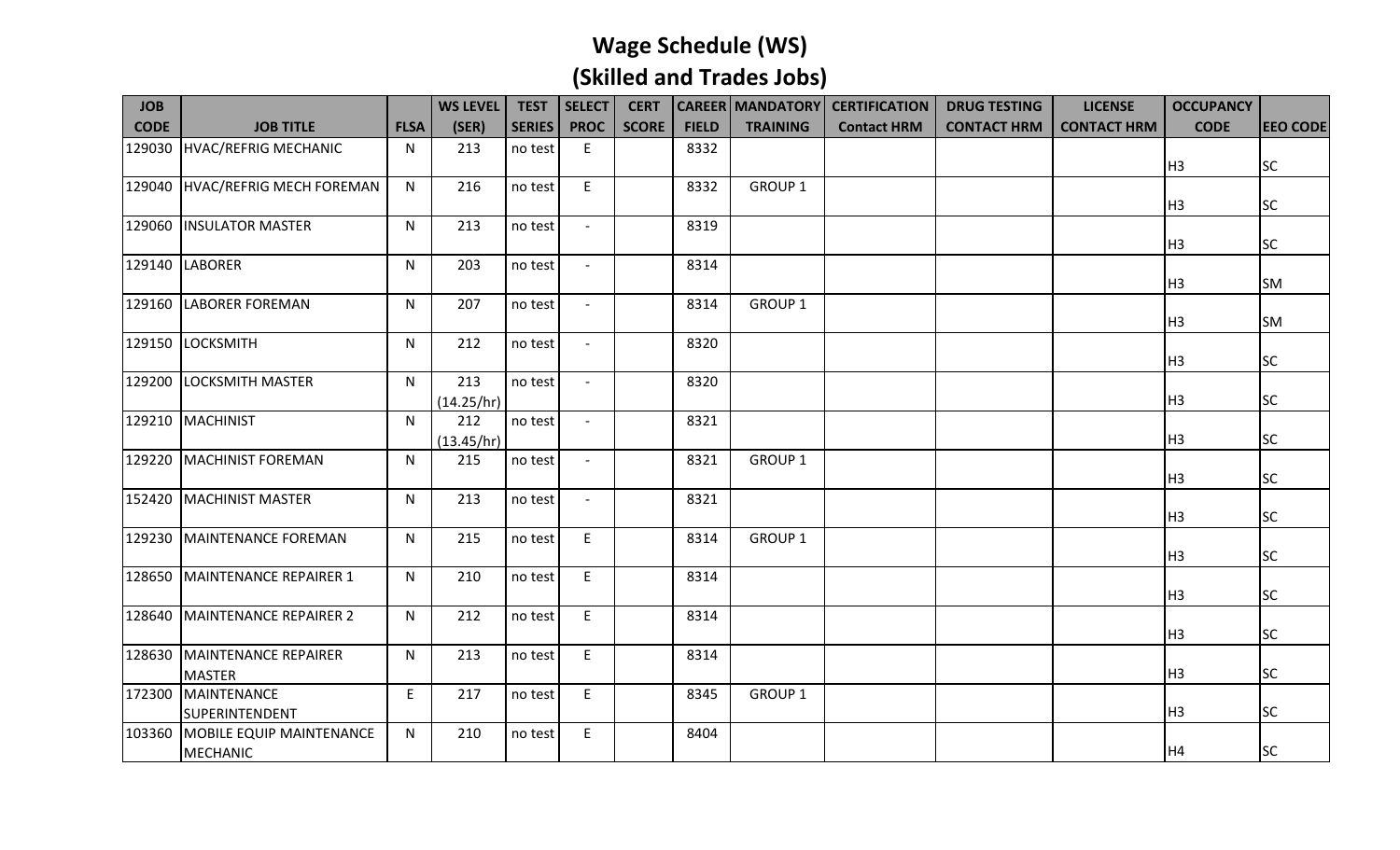| <b>JOB</b>  |                                             |             | <b>WS LEVEL</b>   | <b>TEST</b>   | <b>SELECT</b>            | <b>CERT</b>  |              |                    | <b>CAREER   MANDATORY   CERTIFICATION</b> | <b>DRUG TESTING</b> | <b>LICENSE</b>     | <b>OCCUPANCY</b> |                 |
|-------------|---------------------------------------------|-------------|-------------------|---------------|--------------------------|--------------|--------------|--------------------|-------------------------------------------|---------------------|--------------------|------------------|-----------------|
| <b>CODE</b> | <b>JOB TITLE</b>                            | <b>FLSA</b> | (SER)             | <b>SERIES</b> | <b>PROC</b>              | <b>SCORE</b> | <b>FIELD</b> | <b>TRAINING</b>    | <b>Contact HRM</b>                        | <b>CONTACT HRM</b>  | <b>CONTACT HRM</b> | <b>CODE</b>      | <b>EEO CODE</b> |
| 129030      | HVAC/REFRIG MECHANIC                        | N           | 213               | no test       | E                        |              | 8332         |                    |                                           |                     |                    | H3               | <b>SC</b>       |
| 129040      | HVAC/REFRIG MECH FOREMAN                    | N           | 216               | no test       | E                        |              | 8332         | <b>GROUP 1</b>     |                                           |                     |                    | H3               | <b>SC</b>       |
|             | 129060 INSULATOR MASTER                     | N           | 213               | no test       |                          |              | 8319         |                    |                                           |                     |                    | H <sub>3</sub>   | <b>SC</b>       |
|             | 129140 LABORER                              | N           | 203               | no test       | $\sim$                   |              | 8314         |                    |                                           |                     |                    | H <sub>3</sub>   | <b>SM</b>       |
| 129160      | <b>LABORER FOREMAN</b>                      | N           | 207               | no test       | $\overline{\phantom{a}}$ |              | 8314         | <b>GROUP 1</b>     |                                           |                     |                    | H <sub>3</sub>   | <b>SM</b>       |
| 129150      | LOCKSMITH                                   | N           | 212               | no test       |                          |              | 8320         |                    |                                           |                     |                    | H <sub>3</sub>   | <b>SC</b>       |
| 129200      | <b>LOCKSMITH MASTER</b>                     | N.          | 213<br>(14.25/hr) | no test       |                          |              | 8320         |                    |                                           |                     |                    | H3               | <b>SC</b>       |
| 129210      | <b>MACHINIST</b>                            | N           | 212<br>(13.45/hr) | no test       |                          |              | 8321         |                    |                                           |                     |                    | H3               | <b>SC</b>       |
| 129220      | MACHINIST FOREMAN                           | N           | 215               | no test       |                          |              | 8321         | GROUP <sub>1</sub> |                                           |                     |                    | H <sub>3</sub>   | <b>SC</b>       |
|             | 152420   MACHINIST MASTER                   | N.          | 213               | no test       | $\overline{\phantom{a}}$ |              | 8321         |                    |                                           |                     |                    | H <sub>3</sub>   | <b>SC</b>       |
|             | 129230 MAINTENANCE FOREMAN                  | N           | 215               | no test       | E                        |              | 8314         | <b>GROUP 1</b>     |                                           |                     |                    | H <sub>3</sub>   | <b>SC</b>       |
| 128650      | MAINTENANCE REPAIRER 1                      | N           | 210               | no test       | E                        |              | 8314         |                    |                                           |                     |                    | H <sub>3</sub>   | <b>SC</b>       |
| 128640      | MAINTENANCE REPAIRER 2                      | N           | 212               | no test       | E.                       |              | 8314         |                    |                                           |                     |                    | H <sub>3</sub>   | <b>SC</b>       |
| 128630      | MAINTENANCE REPAIRER<br><b>MASTER</b>       | N.          | 213               | no test       | E                        |              | 8314         |                    |                                           |                     |                    | H <sub>3</sub>   | <b>SC</b>       |
| 172300      | MAINTENANCE<br>SUPERINTENDENT               | E           | 217               | no test       | E                        |              | 8345         | GROUP 1            |                                           |                     |                    | H <sub>3</sub>   | <b>SC</b>       |
| 103360      | MOBILE EQUIP MAINTENANCE<br><b>MECHANIC</b> | N           | 210               | no test       | E                        |              | 8404         |                    |                                           |                     |                    | H <sub>4</sub>   | <b>SC</b>       |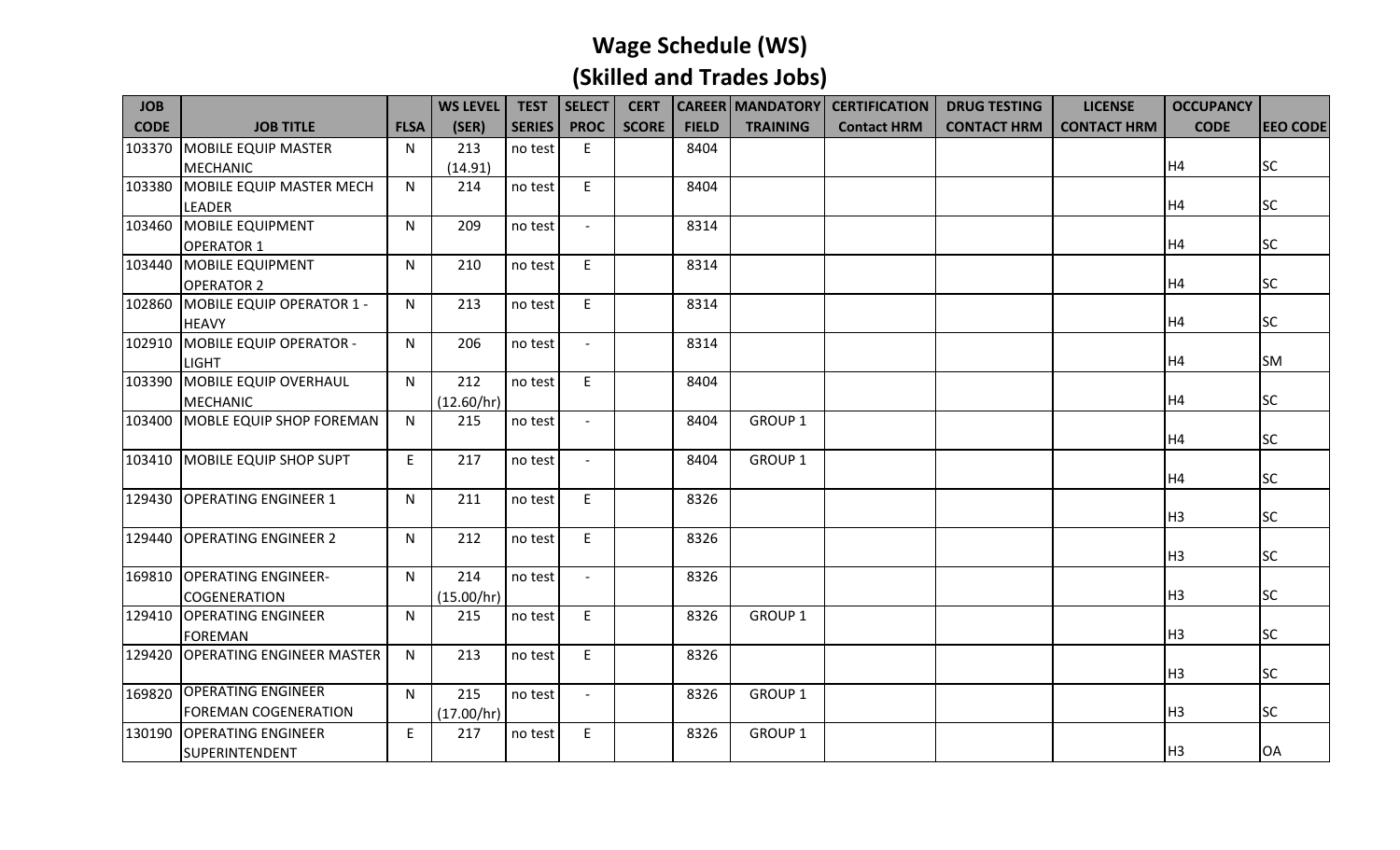| <b>JOB</b>  |                                  |             | <b>WS LEVEL</b> | <b>TEST</b>   | SELECT         | <b>CERT</b>  |              |                    | <b>CAREER   MANDATORY   CERTIFICATION</b> | <b>DRUG TESTING</b> | <b>LICENSE</b>     | <b>OCCUPANCY</b> |                 |
|-------------|----------------------------------|-------------|-----------------|---------------|----------------|--------------|--------------|--------------------|-------------------------------------------|---------------------|--------------------|------------------|-----------------|
| <b>CODE</b> | <b>JOB TITLE</b>                 | <b>FLSA</b> | (SER)           | <b>SERIES</b> | <b>PROC</b>    | <b>SCORE</b> | <b>FIELD</b> | <b>TRAINING</b>    | <b>Contact HRM</b>                        | <b>CONTACT HRM</b>  | <b>CONTACT HRM</b> | <b>CODE</b>      | <b>EEO CODE</b> |
| 103370      | MOBILE EQUIP MASTER              | N.          | 213             | no test       | E              |              | 8404         |                    |                                           |                     |                    |                  |                 |
|             | <b>MECHANIC</b>                  |             | (14.91)         |               |                |              |              |                    |                                           |                     |                    | H <sub>4</sub>   | <b>SC</b>       |
| 103380      | MOBILE EQUIP MASTER MECH         | N           | 214             | no test       | E              |              | 8404         |                    |                                           |                     |                    |                  |                 |
|             | <b>LEADER</b>                    |             |                 |               |                |              |              |                    |                                           |                     |                    | H <sub>4</sub>   | <b>SC</b>       |
| 103460      | MOBILE EQUIPMENT                 | N           | 209             | no test       |                |              | 8314         |                    |                                           |                     |                    |                  |                 |
|             | <b>OPERATOR 1</b>                |             |                 |               |                |              |              |                    |                                           |                     |                    | H <sub>4</sub>   | <b>SC</b>       |
| 103440      | MOBILE EQUIPMENT                 | N           | 210             | no test       | E              |              | 8314         |                    |                                           |                     |                    |                  |                 |
|             | <b>OPERATOR 2</b>                |             |                 |               |                |              |              |                    |                                           |                     |                    | H4               | <b>SC</b>       |
| 102860      | MOBILE EQUIP OPERATOR 1 -        | N           | 213             | no test       | E              |              | 8314         |                    |                                           |                     |                    |                  |                 |
|             | <b>HEAVY</b>                     |             |                 |               |                |              |              |                    |                                           |                     |                    | H4               | <b>SC</b>       |
|             | 102910 MOBILE EQUIP OPERATOR -   | N           | 206             | no test       |                |              | 8314         |                    |                                           |                     |                    |                  |                 |
|             | <b>LIGHT</b>                     |             |                 |               |                |              |              |                    |                                           |                     |                    | H <sub>4</sub>   | <b>SM</b>       |
| 103390      | MOBILE EQUIP OVERHAUL            | N           | 212             | no test       | E              |              | 8404         |                    |                                           |                     |                    |                  |                 |
|             | <b>MECHANIC</b>                  |             | (12.60/hr)      |               |                |              |              |                    |                                           |                     |                    | H <sub>4</sub>   | <b>SC</b>       |
|             | 103400 MOBLE EQUIP SHOP FOREMAN  | N           | 215             | no test       |                |              | 8404         | <b>GROUP 1</b>     |                                           |                     |                    |                  |                 |
|             |                                  |             |                 |               |                |              |              |                    |                                           |                     |                    | H <sub>4</sub>   | <b>SC</b>       |
|             | 103410 MOBILE EQUIP SHOP SUPT    | E           | 217             | no test       |                |              | 8404         | GROUP <sub>1</sub> |                                           |                     |                    |                  |                 |
|             |                                  |             |                 |               |                |              |              |                    |                                           |                     |                    | H <sub>4</sub>   | <b>SC</b>       |
|             | 129430 OPERATING ENGINEER 1      | N           | 211             | no test       | E              |              | 8326         |                    |                                           |                     |                    |                  |                 |
|             |                                  |             |                 |               |                |              |              |                    |                                           |                     |                    | H <sub>3</sub>   | <b>SC</b>       |
| 129440      | <b>OPERATING ENGINEER 2</b>      | N           | 212             | no test       | E              |              | 8326         |                    |                                           |                     |                    |                  |                 |
|             |                                  |             |                 |               |                |              |              |                    |                                           |                     |                    | H <sub>3</sub>   | <b>SC</b>       |
|             | 169810 OPERATING ENGINEER-       | N.          | 214             | no test       |                |              | 8326         |                    |                                           |                     |                    |                  |                 |
|             | COGENERATION                     |             | (15.00/hr)      |               |                |              |              |                    |                                           |                     |                    | H <sub>3</sub>   | <b>SC</b>       |
| 129410      | <b>OPERATING ENGINEER</b>        | N           | 215             | no test       | E              |              | 8326         | GROUP <sub>1</sub> |                                           |                     |                    |                  |                 |
|             | <b>FOREMAN</b>                   |             |                 |               |                |              |              |                    |                                           |                     |                    | H <sub>3</sub>   | <b>SC</b>       |
| 129420      | <b>OPERATING ENGINEER MASTER</b> | N           | 213             | no test       | E              |              | 8326         |                    |                                           |                     |                    |                  |                 |
|             |                                  |             |                 |               |                |              |              |                    |                                           |                     |                    | H <sub>3</sub>   | <b>SC</b>       |
|             | 169820 OPERATING ENGINEER        | N           | 215             | no test       | $\overline{a}$ |              | 8326         | GROUP <sub>1</sub> |                                           |                     |                    |                  |                 |
|             | <b>FOREMAN COGENERATION</b>      |             | (17.00/hr)      |               |                |              |              |                    |                                           |                     |                    | H <sub>3</sub>   | <b>SC</b>       |
| 130190      | <b>OPERATING ENGINEER</b>        | E           | 217             | no test       | E              |              | 8326         | GROUP <sub>1</sub> |                                           |                     |                    |                  |                 |
|             | SUPERINTENDENT                   |             |                 |               |                |              |              |                    |                                           |                     |                    | H <sub>3</sub>   | <b>OA</b>       |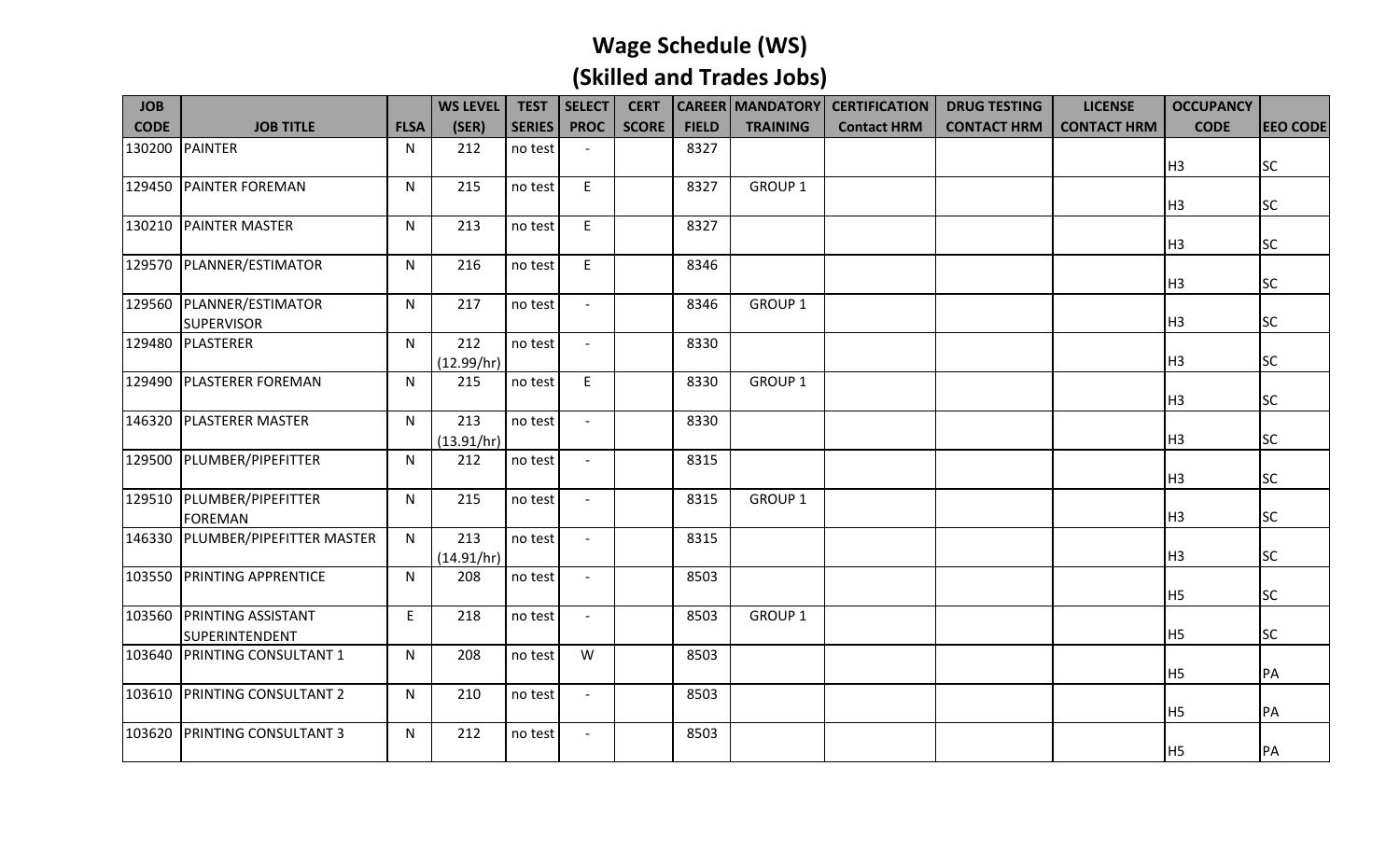| <b>JOB</b>  |                                               |              | <b>WS LEVEL</b>   | <b>TEST</b>   | <b>SELECT</b>            | <b>CERT</b>  |              |                    | <b>CAREER   MANDATORY   CERTIFICATION</b> | <b>DRUG TESTING</b> | <b>LICENSE</b>     | <b>OCCUPANCY</b> |                 |
|-------------|-----------------------------------------------|--------------|-------------------|---------------|--------------------------|--------------|--------------|--------------------|-------------------------------------------|---------------------|--------------------|------------------|-----------------|
| <b>CODE</b> | <b>JOB TITLE</b>                              | <b>FLSA</b>  | (SER)             | <b>SERIES</b> | <b>PROC</b>              | <b>SCORE</b> | <b>FIELD</b> | <b>TRAINING</b>    | <b>Contact HRM</b>                        | <b>CONTACT HRM</b>  | <b>CONTACT HRM</b> | <b>CODE</b>      | <b>EEO CODE</b> |
| 130200      | <b>PAINTER</b>                                | N            | 212               | no test       |                          |              | 8327         |                    |                                           |                     |                    | H <sub>3</sub>   | <b>SC</b>       |
|             | 129450 PAINTER FOREMAN                        | $\mathsf{N}$ | 215               | no test       | E                        |              | 8327         | GROUP <sub>1</sub> |                                           |                     |                    | H <sub>3</sub>   | <b>SC</b>       |
| 130210      | <b>PAINTER MASTER</b>                         | N            | 213               | no test       | E                        |              | 8327         |                    |                                           |                     |                    | H <sub>3</sub>   | <b>SC</b>       |
| 129570      | PLANNER/ESTIMATOR                             | ${\sf N}$    | 216               | no test       | E                        |              | 8346         |                    |                                           |                     |                    | H <sub>3</sub>   | <b>SC</b>       |
|             | 129560 PLANNER/ESTIMATOR<br><b>SUPERVISOR</b> | N            | 217               | no test       | $\overline{\phantom{a}}$ |              | 8346         | <b>GROUP 1</b>     |                                           |                     |                    | H <sub>3</sub>   | <b>SC</b>       |
| 129480      | PLASTERER                                     | N            | 212<br>(12.99/hr) | no test       |                          |              | 8330         |                    |                                           |                     |                    | H <sub>3</sub>   | <b>SC</b>       |
| 129490      | <b>PLASTERER FOREMAN</b>                      | N            | 215               | no test       | E                        |              | 8330         | GROUP <sub>1</sub> |                                           |                     |                    | H <sub>3</sub>   | <b>SC</b>       |
|             | 146320 PLASTERER MASTER                       | $\mathsf{N}$ | 213<br>(13.91/hr) | no test       | $\sim$                   |              | 8330         |                    |                                           |                     |                    | H <sub>3</sub>   | <b>SC</b>       |
| 129500      | PLUMBER/PIPEFITTER                            | $\mathsf{N}$ | 212               | no test       |                          |              | 8315         |                    |                                           |                     |                    | H <sub>3</sub>   | <b>SC</b>       |
|             | 129510 PLUMBER/PIPEFITTER<br><b>FOREMAN</b>   | N            | 215               | no test       | $\sim$                   |              | 8315         | GROUP <sub>1</sub> |                                           |                     |                    | H <sub>3</sub>   | <b>SC</b>       |
|             | 146330 PLUMBER/PIPEFITTER MASTER              | $\mathsf{N}$ | 213<br>(14.91/hr) | no test       |                          |              | 8315         |                    |                                           |                     |                    | H <sub>3</sub>   | <b>SC</b>       |
| 103550      | <b>PRINTING APPRENTICE</b>                    | ${\sf N}$    | 208               | no test       |                          |              | 8503         |                    |                                           |                     |                    | H <sub>5</sub>   | <b>SC</b>       |
| 103560      | <b>PRINTING ASSISTANT</b><br>SUPERINTENDENT   | E            | 218               | no test       | $\overline{\phantom{a}}$ |              | 8503         | GROUP <sub>1</sub> |                                           |                     |                    | H <sub>5</sub>   | <b>SC</b>       |
| 103640      | <b>PRINTING CONSULTANT 1</b>                  | N            | 208               | no test       | W                        |              | 8503         |                    |                                           |                     |                    | H <sub>5</sub>   | PA              |
| 103610      | <b>PRINTING CONSULTANT 2</b>                  | N            | 210               | no test       | $ \,$                    |              | 8503         |                    |                                           |                     |                    | H <sub>5</sub>   | PA              |
| 103620      | <b>PRINTING CONSULTANT 3</b>                  | N            | 212               | no test       | $\overline{\phantom{a}}$ |              | 8503         |                    |                                           |                     |                    | H <sub>5</sub>   | PA              |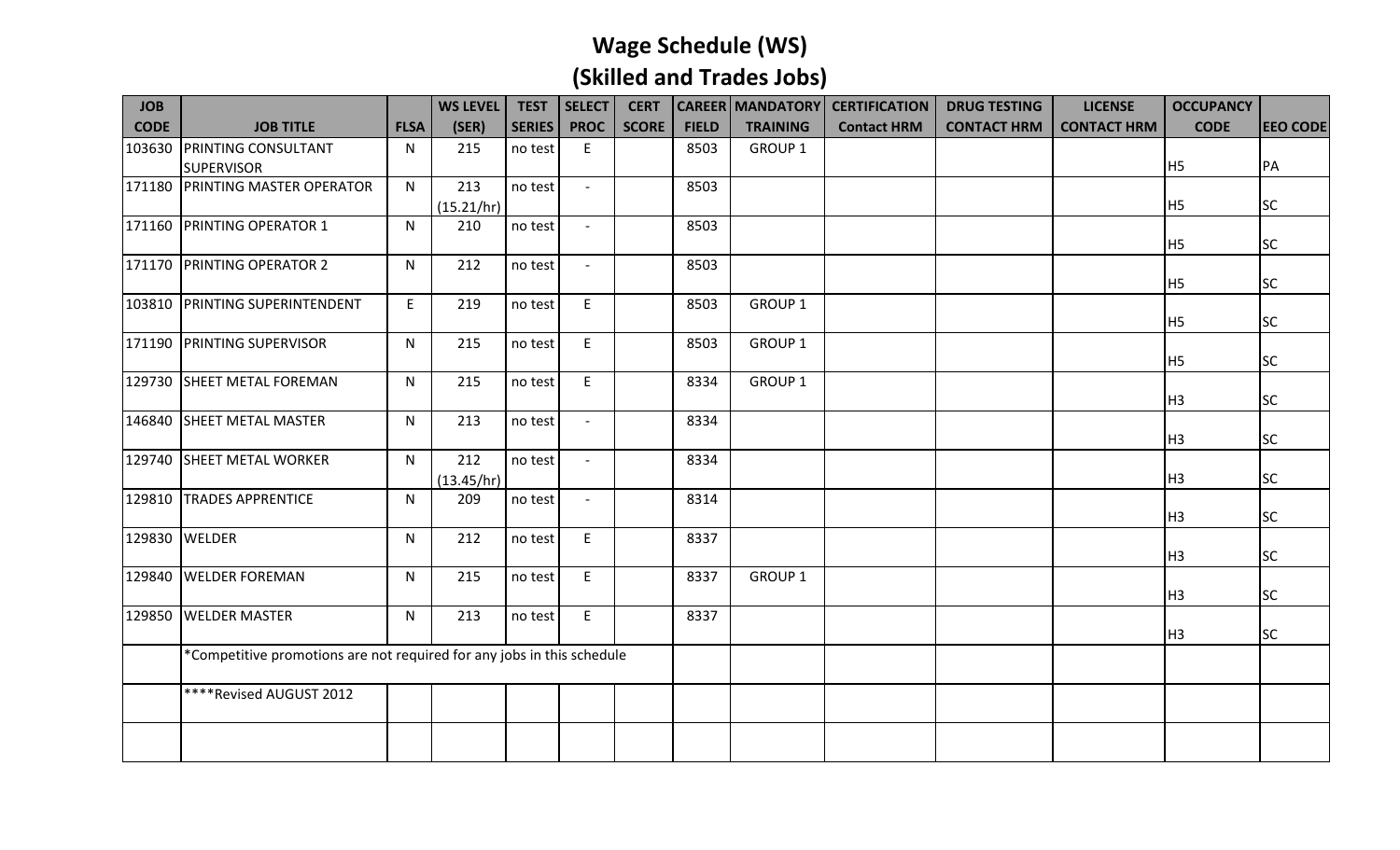| <b>JOB</b>  |                                                                        |             | <b>WS LEVEL</b> | <b>TEST</b>   | <b>SELECT</b>            | <b>CERT</b>  |              |                 | <b>CAREER   MANDATORY   CERTIFICATION</b> | <b>DRUG TESTING</b> | <b>LICENSE</b>     | <b>OCCUPANCY</b> |                 |
|-------------|------------------------------------------------------------------------|-------------|-----------------|---------------|--------------------------|--------------|--------------|-----------------|-------------------------------------------|---------------------|--------------------|------------------|-----------------|
| <b>CODE</b> | <b>JOB TITLE</b>                                                       | <b>FLSA</b> | (SER)           | <b>SERIES</b> | <b>PROC</b>              | <b>SCORE</b> | <b>FIELD</b> | <b>TRAINING</b> | <b>Contact HRM</b>                        | <b>CONTACT HRM</b>  | <b>CONTACT HRM</b> | <b>CODE</b>      | <b>EEO CODE</b> |
| 103630      | <b>PRINTING CONSULTANT</b>                                             | N           | 215             | no test       | E                        |              | 8503         | GROUP 1         |                                           |                     |                    |                  |                 |
|             | <b>SUPERVISOR</b>                                                      |             |                 |               |                          |              |              |                 |                                           |                     |                    | H <sub>5</sub>   | PA              |
| 171180      | <b>PRINTING MASTER OPERATOR</b>                                        | N           | 213             | no test       |                          |              | 8503         |                 |                                           |                     |                    |                  |                 |
|             |                                                                        |             | (15.21/hr)      |               |                          |              |              |                 |                                           |                     |                    | H <sub>5</sub>   | <b>SC</b>       |
|             | 171160 PRINTING OPERATOR 1                                             | N           | 210             | no test       |                          |              | 8503         |                 |                                           |                     |                    |                  |                 |
|             |                                                                        |             |                 |               |                          |              |              |                 |                                           |                     |                    | H <sub>5</sub>   | <b>SC</b>       |
|             | 171170 PRINTING OPERATOR 2                                             | N           | 212             | no test       | $\overline{\phantom{a}}$ |              | 8503         |                 |                                           |                     |                    |                  |                 |
|             |                                                                        |             |                 |               |                          |              |              |                 |                                           |                     |                    | H <sub>5</sub>   | <b>SC</b>       |
| 103810      | <b>PRINTING SUPERINTENDENT</b>                                         | E           | 219             | no test       | $\mathsf E$              |              | 8503         | GROUP 1         |                                           |                     |                    |                  |                 |
|             |                                                                        |             |                 |               |                          |              |              |                 |                                           |                     |                    | H <sub>5</sub>   | <b>SC</b>       |
| 171190      | <b>PRINTING SUPERVISOR</b>                                             | N           | 215             | no test       | E                        |              | 8503         | GROUP 1         |                                           |                     |                    |                  |                 |
|             |                                                                        |             |                 |               |                          |              |              |                 |                                           |                     |                    | H <sub>5</sub>   | <b>SC</b>       |
|             | 129730 SHEET METAL FOREMAN                                             | N           | 215             | no test       | E                        |              | 8334         | GROUP 1         |                                           |                     |                    | H <sub>3</sub>   | <b>SC</b>       |
| 146840      | <b>SHEET METAL MASTER</b>                                              |             | 213             |               |                          |              | 8334         |                 |                                           |                     |                    |                  |                 |
|             |                                                                        | N           |                 | no test       |                          |              |              |                 |                                           |                     |                    | H3               | <b>SC</b>       |
| 129740      | <b>SHEET METAL WORKER</b>                                              | N.          | 212             | no test       | $-$                      |              | 8334         |                 |                                           |                     |                    |                  |                 |
|             |                                                                        |             | (13.45/hr)      |               |                          |              |              |                 |                                           |                     |                    | H <sub>3</sub>   | <b>SC</b>       |
|             | 129810 TRADES APPRENTICE                                               | N           | 209             | no test       | $\blacksquare$           |              | 8314         |                 |                                           |                     |                    |                  |                 |
|             |                                                                        |             |                 |               |                          |              |              |                 |                                           |                     |                    | H3               | <b>SC</b>       |
|             | 129830 WELDER                                                          | N           | 212             | no test       | E                        |              | 8337         |                 |                                           |                     |                    |                  |                 |
|             |                                                                        |             |                 |               |                          |              |              |                 |                                           |                     |                    | H3               | <b>SC</b>       |
| 129840      | <b>WELDER FOREMAN</b>                                                  | N           | 215             | no test       | E                        |              | 8337         | GROUP 1         |                                           |                     |                    |                  |                 |
|             |                                                                        |             |                 |               |                          |              |              |                 |                                           |                     |                    | H3               | <b>SC</b>       |
| 129850      | <b>WELDER MASTER</b>                                                   | N           | 213             | no test       | E                        |              | 8337         |                 |                                           |                     |                    |                  |                 |
|             |                                                                        |             |                 |               |                          |              |              |                 |                                           |                     |                    | H3               | <b>SC</b>       |
|             | *Competitive promotions are not required for any jobs in this schedule |             |                 |               |                          |              |              |                 |                                           |                     |                    |                  |                 |
|             |                                                                        |             |                 |               |                          |              |              |                 |                                           |                     |                    |                  |                 |
|             | ****Revised AUGUST 2012                                                |             |                 |               |                          |              |              |                 |                                           |                     |                    |                  |                 |
|             |                                                                        |             |                 |               |                          |              |              |                 |                                           |                     |                    |                  |                 |
|             |                                                                        |             |                 |               |                          |              |              |                 |                                           |                     |                    |                  |                 |
|             |                                                                        |             |                 |               |                          |              |              |                 |                                           |                     |                    |                  |                 |